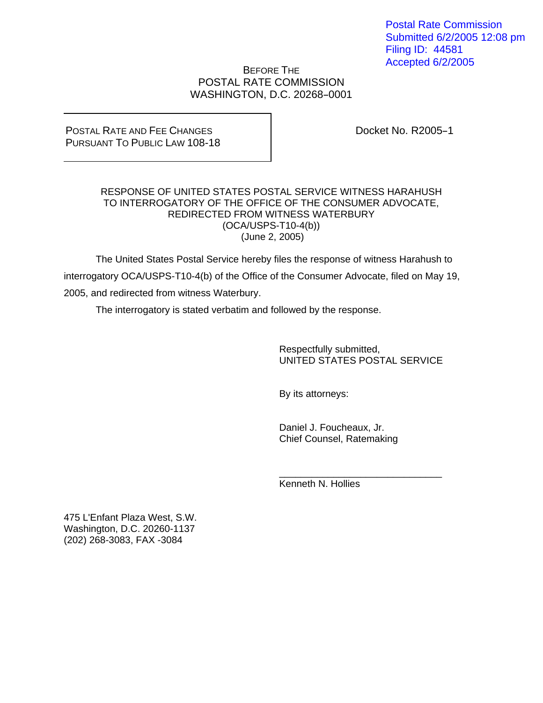Postal Rate Commission Submitted 6/2/2005 12:08 pm Filing ID: 44581 Accepted 6/2/2005

## BEFORE THE POSTAL RATE COMMISSION WASHINGTON, D.C. 20268-0001

POSTAL RATE AND FEE CHANGES PURSUANT TO PUBLIC LAW 108-18 Docket No. R2005-1

## RESPONSE OF UNITED STATES POSTAL SERVICE WITNESS HARAHUSH TO INTERROGATORY OF THE OFFICE OF THE CONSUMER ADVOCATE, REDIRECTED FROM WITNESS WATERBURY (OCA/USPS-T10-4(b)) (June 2, 2005)

 The United States Postal Service hereby files the response of witness Harahush to interrogatory OCA/USPS-T10-4(b) of the Office of the Consumer Advocate, filed on May 19, 2005, and redirected from witness Waterbury.

 $\overline{\phantom{a}}$  ,  $\overline{\phantom{a}}$  ,  $\overline{\phantom{a}}$  ,  $\overline{\phantom{a}}$  ,  $\overline{\phantom{a}}$  ,  $\overline{\phantom{a}}$  ,  $\overline{\phantom{a}}$  ,  $\overline{\phantom{a}}$  ,  $\overline{\phantom{a}}$  ,  $\overline{\phantom{a}}$  ,  $\overline{\phantom{a}}$  ,  $\overline{\phantom{a}}$  ,  $\overline{\phantom{a}}$  ,  $\overline{\phantom{a}}$  ,  $\overline{\phantom{a}}$  ,  $\overline{\phantom{a}}$ 

The interrogatory is stated verbatim and followed by the response.

 Respectfully submitted, UNITED STATES POSTAL SERVICE

By its attorneys:

 Daniel J. Foucheaux, Jr. Chief Counsel, Ratemaking

Kenneth N. Hollies

475 L'Enfant Plaza West, S.W. Washington, D.C. 20260-1137 (202) 268-3083, FAX -3084